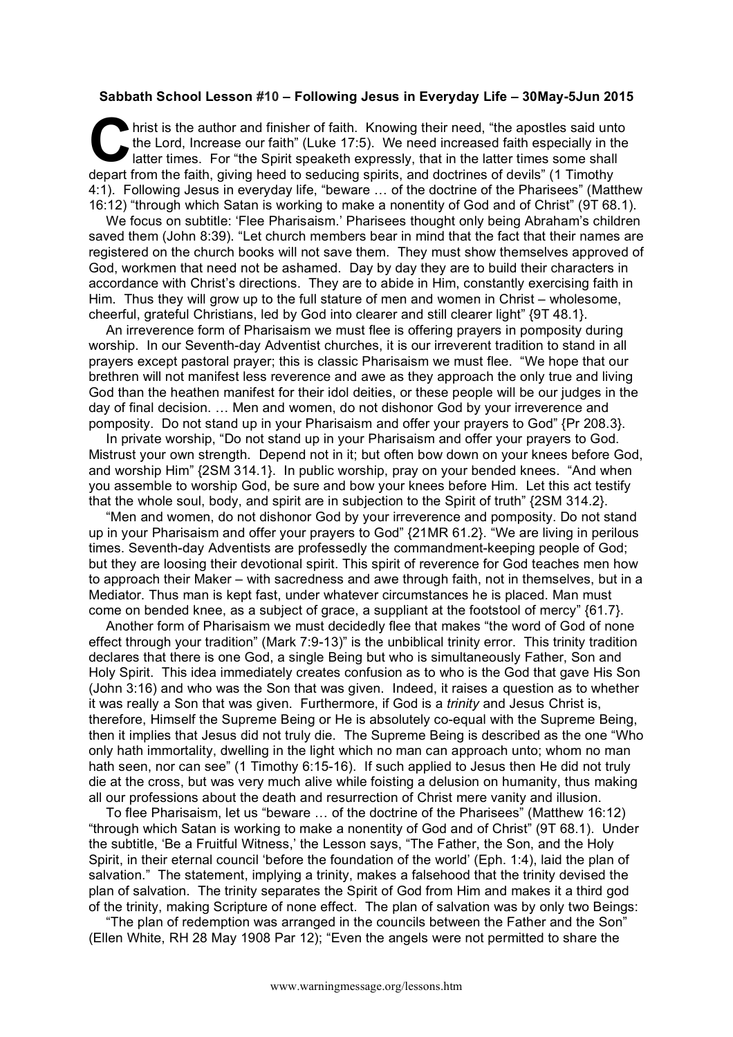## **Sabbath School Lesson #10 – Following Jesus in Everyday Life – 30May-5Jun 2015**

hrist is the author and finisher of faith. Knowing their need, "the apostles said unto the Lord, Increase our faith" (Luke 17:5). We need increased faith especially in the latter times. For "the Spirit speaketh expressly, that in the latter times some shall depart from the faith, giving heed to seducing spirits, and doctrines of devils" (1 Timothy 4:1). Following Jesus in everyday life, "beware … of the doctrine of the Pharisees" (Matthew 16:12) "through which Satan is working to make a nonentity of God and of Christ" (9T 68.1). **C** hris

We focus on subtitle: 'Flee Pharisaism.' Pharisees thought only being Abraham's children saved them (John 8:39). "Let church members bear in mind that the fact that their names are registered on the church books will not save them. They must show themselves approved of God, workmen that need not be ashamed. Day by day they are to build their characters in accordance with Christ's directions. They are to abide in Him, constantly exercising faith in Him. Thus they will grow up to the full stature of men and women in Christ – wholesome, cheerful, grateful Christians, led by God into clearer and still clearer light" {9T 48.1}.

An irreverence form of Pharisaism we must flee is offering prayers in pomposity during worship. In our Seventh-day Adventist churches, it is our irreverent tradition to stand in all prayers except pastoral prayer; this is classic Pharisaism we must flee. "We hope that our brethren will not manifest less reverence and awe as they approach the only true and living God than the heathen manifest for their idol deities, or these people will be our judges in the day of final decision. … Men and women, do not dishonor God by your irreverence and pomposity. Do not stand up in your Pharisaism and offer your prayers to God" {Pr 208.3}.

In private worship, "Do not stand up in your Pharisaism and offer your prayers to God. Mistrust your own strength. Depend not in it; but often bow down on your knees before God, and worship Him" {2SM 314.1}. In public worship, pray on your bended knees. "And when you assemble to worship God, be sure and bow your knees before Him. Let this act testify that the whole soul, body, and spirit are in subjection to the Spirit of truth" {2SM 314.2}.

"Men and women, do not dishonor God by your irreverence and pomposity. Do not stand up in your Pharisaism and offer your prayers to God" {21MR 61.2}. "We are living in perilous times. Seventh-day Adventists are professedly the commandment-keeping people of God; but they are loosing their devotional spirit. This spirit of reverence for God teaches men how to approach their Maker – with sacredness and awe through faith, not in themselves, but in a Mediator. Thus man is kept fast, under whatever circumstances he is placed. Man must come on bended knee, as a subject of grace, a suppliant at the footstool of mercy" {61.7}.

Another form of Pharisaism we must decidedly flee that makes "the word of God of none effect through your tradition" (Mark 7:9-13)" is the unbiblical trinity error. This trinity tradition declares that there is one God, a single Being but who is simultaneously Father, Son and Holy Spirit. This idea immediately creates confusion as to who is the God that gave His Son (John 3:16) and who was the Son that was given. Indeed, it raises a question as to whether it was really a Son that was given. Furthermore, if God is a *trinity* and Jesus Christ is, therefore, Himself the Supreme Being or He is absolutely co-equal with the Supreme Being, then it implies that Jesus did not truly die. The Supreme Being is described as the one "Who only hath immortality, dwelling in the light which no man can approach unto; whom no man hath seen, nor can see" (1 Timothy 6:15-16). If such applied to Jesus then He did not truly die at the cross, but was very much alive while foisting a delusion on humanity, thus making all our professions about the death and resurrection of Christ mere vanity and illusion.

To flee Pharisaism, let us "beware … of the doctrine of the Pharisees" (Matthew 16:12) "through which Satan is working to make a nonentity of God and of Christ" (9T 68.1). Under the subtitle, 'Be a Fruitful Witness,' the Lesson says, "The Father, the Son, and the Holy Spirit, in their eternal council 'before the foundation of the world' (Eph. 1:4), laid the plan of salvation." The statement, implying a trinity, makes a falsehood that the trinity devised the plan of salvation. The trinity separates the Spirit of God from Him and makes it a third god of the trinity, making Scripture of none effect. The plan of salvation was by only two Beings:

"The plan of redemption was arranged in the councils between the Father and the Son" (Ellen White, RH 28 May 1908 Par 12); "Even the angels were not permitted to share the